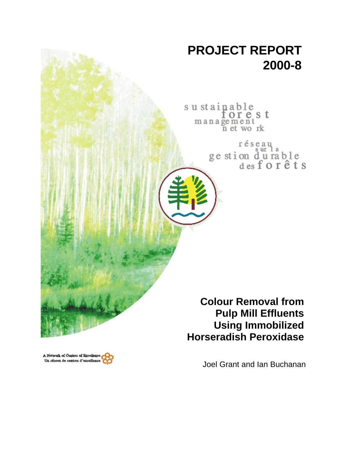

sustainable orest management<br>n et work

> réseau ge stion durable<br>desforêts

**Colour Removal from Pulp Mill Effluents Using Immobilized Horseradish Peroxidase**

Joel Grant and Ian Buchanan

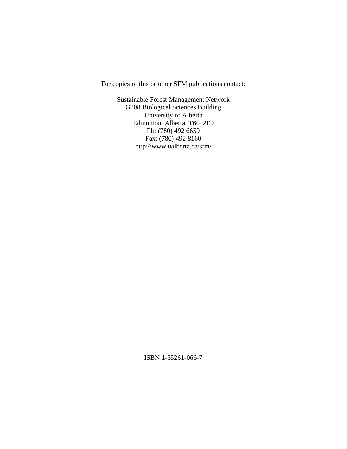For copies of this or other SFM publications contact:

Sustainable Forest Management Network G208 Biological Sciences Building University of Alberta Edmonton, Alberta, T6G 2E9 Ph: (780) 492 6659 Fax: (780) 492 8160 http://www.ualberta.ca/sfm/

ISBN 1-55261-066-7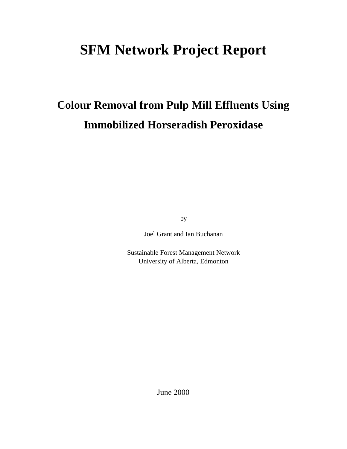# **SFM Network Project Report**

# **Colour Removal from Pulp Mill Effluents Using Immobilized Horseradish Peroxidase**

by

Joel Grant and Ian Buchanan

Sustainable Forest Management Network University of Alberta, Edmonton

June 2000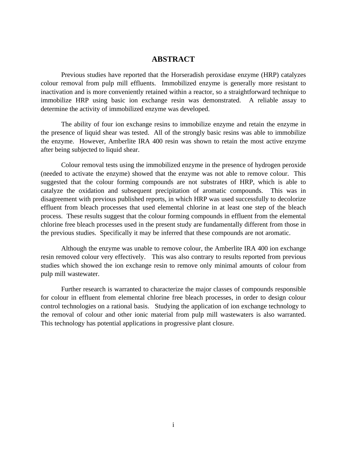# **ABSTRACT**

Previous studies have reported that the Horseradish peroxidase enzyme (HRP) catalyzes colour removal from pulp mill effluents. Immobilized enzyme is generally more resistant to inactivation and is more conveniently retained within a reactor, so a straightforward technique to immobilize HRP using basic ion exchange resin was demonstrated. A reliable assay to determine the activity of immobilized enzyme was developed.

The ability of four ion exchange resins to immobilize enzyme and retain the enzyme in the presence of liquid shear was tested. All of the strongly basic resins was able to immobilize the enzyme. However, Amberlite IRA 400 resin was shown to retain the most active enzyme after being subjected to liquid shear.

Colour removal tests using the immobilized enzyme in the presence of hydrogen peroxide (needed to activate the enzyme) showed that the enzyme was not able to remove colour. This suggested that the colour forming compounds are not substrates of HRP, which is able to catalyze the oxidation and subsequent precipitation of aromatic compounds. This was in disagreement with previous published reports, in which HRP was used successfully to decolorize effluent from bleach processes that used elemental chlorine in at least one step of the bleach process. These results suggest that the colour forming compounds in effluent from the elemental chlorine free bleach processes used in the present study are fundamentally different from those in the previous studies. Specifically it may be inferred that these compounds are not aromatic.

Although the enzyme was unable to remove colour, the Amberlite IRA 400 ion exchange resin removed colour very effectively. This was also contrary to results reported from previous studies which showed the ion exchange resin to remove only minimal amounts of colour from pulp mill wastewater.

Further research is warranted to characterize the major classes of compounds responsible for colour in effluent from elemental chlorine free bleach processes, in order to design colour control technologies on a rational basis. Studying the application of ion exchange technology to the removal of colour and other ionic material from pulp mill wastewaters is also warranted. This technology has potential applications in progressive plant closure.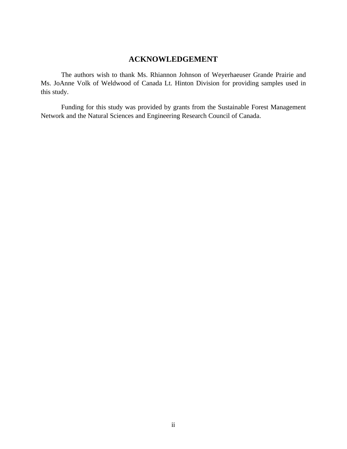# **ACKNOWLEDGEMENT**

The authors wish to thank Ms. Rhiannon Johnson of Weyerhaeuser Grande Prairie and Ms. JoAnne Volk of Weldwood of Canada Lt. Hinton Division for providing samples used in this study.

Funding for this study was provided by grants from the Sustainable Forest Management Network and the Natural Sciences and Engineering Research Council of Canada.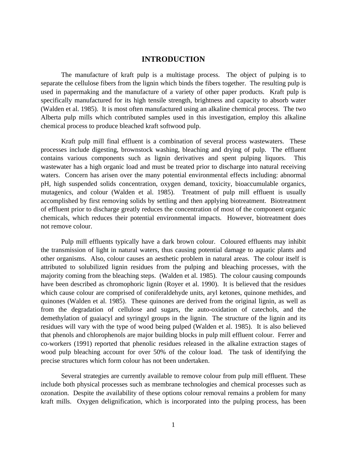# **INTRODUCTION**

The manufacture of kraft pulp is a multistage process. The object of pulping is to separate the cellulose fibers from the lignin which binds the fibers together. The resulting pulp is used in papermaking and the manufacture of a variety of other paper products. Kraft pulp is specifically manufactured for its high tensile strength, brightness and capacity to absorb water (Walden et al. 1985). It is most often manufactured using an alkaline chemical process. The two Alberta pulp mills which contributed samples used in this investigation, employ this alkaline chemical process to produce bleached kraft softwood pulp.

Kraft pulp mill final effluent is a combination of several process wastewaters. These processes include digesting, brownstock washing, bleaching and drying of pulp. The effluent contains various components such as lignin derivatives and spent pulping liquors. This wastewater has a high organic load and must be treated prior to discharge into natural receiving waters. Concern has arisen over the many potential environmental effects including: abnormal pH, high suspended solids concentration, oxygen demand, toxicity, bioaccumulable organics, mutagenics, and colour (Walden et al. 1985). Treatment of pulp mill effluent is usually accomplished by first removing solids by settling and then applying biotreatment. Biotreatment of effluent prior to discharge greatly reduces the concentration of most of the component organic chemicals, which reduces their potential environmental impacts. However, biotreatment does not remove colour.

Pulp mill effluents typically have a dark brown colour. Coloured effluents may inhibit the transmission of light in natural waters, thus causing potential damage to aquatic plants and other organisms. Also, colour causes an aesthetic problem in natural areas. The colour itself is attributed to solubilized lignin residues from the pulping and bleaching processes, with the majority coming from the bleaching steps. (Walden et al. 1985). The colour causing compounds have been described as chromophoric lignin (Royer et al. 1990). It is believed that the residues which cause colour are comprised of coniferaldehyde units, aryl ketones, quinone methides, and quinones (Walden et al. 1985). These quinones are derived from the original lignin, as well as from the degradation of cellulose and sugars, the auto-oxidation of catechols, and the demethylation of guaiacyl and syringyl groups in the lignin. The structure of the lignin and its residues will vary with the type of wood being pulped (Walden et al. 1985). It is also believed that phenols and chlorophenols are major building blocks in pulp mill effluent colour. Ferrer and co-workers (1991) reported that phenolic residues released in the alkaline extraction stages of wood pulp bleaching account for over 50% of the colour load. The task of identifying the precise structures which form colour has not been undertaken.

Several strategies are currently available to remove colour from pulp mill effluent. These include both physical processes such as membrane technologies and chemical processes such as ozonation. Despite the availability of these options colour removal remains a problem for many kraft mills. Oxygen delignification, which is incorporated into the pulping process, has been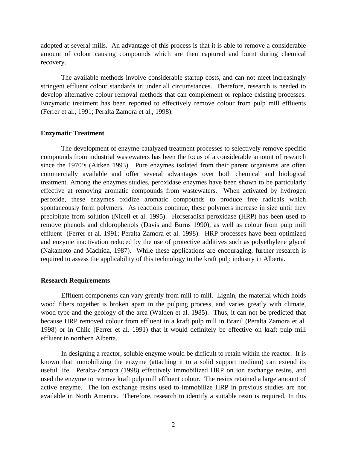adopted at several mills. An advantage of this process is that it is able to remove a considerable amount of colour causing compounds which are then captured and burnt during chemical recovery.

The available methods involve considerable startup costs, and can not meet increasingly stringent effluent colour standards in under all circumstances. Therefore, research is needed to develop alternative colour removal methods that can complement or replace existing processes. Enzymatic treatment has been reported to effectively remove colour from pulp mill effluents (Ferrer et al., 1991; Peralta Zamora et al., 1998).

#### **Enzymatic Treatment**

The development of enzyme-catalyzed treatment processes to selectively remove specific compounds from industrial wastewaters has been the focus of a considerable amount of research since the 1970's (Aitken 1993). Pure enzymes isolated from their parent organisms are often commercially available and offer several advantages over both chemical and biological treatment. Among the enzymes studies, peroxidase enzymes have been shown to be particularly effective at removing aromatic compounds from wastewaters. When activated by hydrogen peroxide, these enzymes oxidize aromatic compounds to produce free radicals which spontaneously form polymers. As reactions continue, these polymers increase in size until they precipitate from solution (Nicell et al. 1995). Horseradish peroxidase (HRP) has been used to remove phenols and chlorophenols (Davis and Burns 1990), as well as colour from pulp mill effluent (Ferrer et al. 1991; Peralta Zamora et al. 1998). HRP processes have been optimized and enzyme inactivation reduced by the use of protective additives such as polyethylene glycol (Nakamoto and Machida, 1987). While these applications are encouraging, further research is required to assess the applicability of this technology to the kraft pulp industry in Alberta.

### **Research Requirements**

Effluent components can vary greatly from mill to mill. Lignin, the material which holds wood fibers together is broken apart in the pulping process, and varies greatly with climate, wood type and the geology of the area (Walden et al. 1985). Thus, it can not be predicted that because HRP removed colour from effluent in a kraft pulp mill in Brazil (Peralta Zamora et al. 1998) or in Chile (Ferrer et al. 1991) that it would definitely be effective on kraft pulp mill effluent in northern Alberta.

In designing a reactor, soluble enzyme would be difficult to retain within the reactor. It is known that immobilizing the enzyme (attaching it to a solid support medium) can extend its useful life. Peralta-Zamora (1998) effectively immobilized HRP on ion exchange resins, and used the enzyme to remove kraft pulp mill effluent colour. The resins retained a large amount of active enzyme. The ion exchange resins used to immobilize HRP in previous studies are not available in North America. Therefore, research to identify a suitable resin is required. In this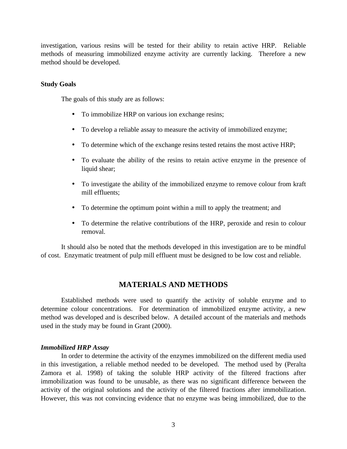investigation, various resins will be tested for their ability to retain active HRP. Reliable methods of measuring immobilized enzyme activity are currently lacking. Therefore a new method should be developed.

#### **Study Goals**

The goals of this study are as follows:

- To immobilize HRP on various ion exchange resins;
- To develop a reliable assay to measure the activity of immobilized enzyme;
- To determine which of the exchange resins tested retains the most active HRP;
- To evaluate the ability of the resins to retain active enzyme in the presence of liquid shear;
- To investigate the ability of the immobilized enzyme to remove colour from kraft mill effluents;
- To determine the optimum point within a mill to apply the treatment; and
- To determine the relative contributions of the HRP, peroxide and resin to colour removal.

It should also be noted that the methods developed in this investigation are to be mindful of cost. Enzymatic treatment of pulp mill effluent must be designed to be low cost and reliable.

# **MATERIALS AND METHODS**

Established methods were used to quantify the activity of soluble enzyme and to determine colour concentrations. For determination of immobilized enzyme activity, a new method was developed and is described below. A detailed account of the materials and methods used in the study may be found in Grant (2000).

### *Immobilized HRP Assay*

In order to determine the activity of the enzymes immobilized on the different media used in this investigation, a reliable method needed to be developed. The method used by (Peralta Zamora et al. 1998) of taking the soluble HRP activity of the filtered fractions after immobilization was found to be unusable, as there was no significant difference between the activity of the original solutions and the activity of the filtered fractions after immobilization. However, this was not convincing evidence that no enzyme was being immobilized, due to the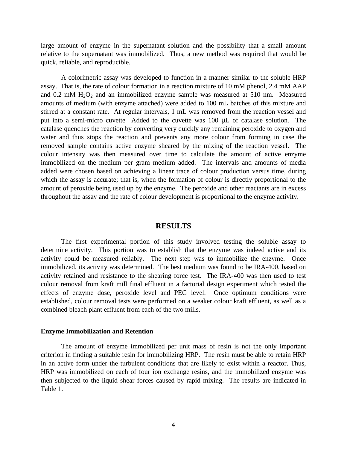large amount of enzyme in the supernatant solution and the possibility that a small amount relative to the supernatant was immobilized. Thus, a new method was required that would be quick, reliable, and reproducible.

A colorimetric assay was developed to function in a manner similar to the soluble HRP assay. That is, the rate of colour formation in a reaction mixture of 10 mM phenol, 2.4 mM AAP and  $0.2 \text{ mM } H_2O_2$  and an immobilized enzyme sample was measured at 510 nm. Measured amounts of medium (with enzyme attached) were added to 100 mL batches of this mixture and stirred at a constant rate. At regular intervals, 1 mL was removed from the reaction vessel and put into a semi-micro cuvette Added to the cuvette was 100 μL of catalase solution. The catalase quenches the reaction by converting very quickly any remaining peroxide to oxygen and water and thus stops the reaction and prevents any more colour from forming in case the removed sample contains active enzyme sheared by the mixing of the reaction vessel. The colour intensity was then measured over time to calculate the amount of active enzyme immobilized on the medium per gram medium added. The intervals and amounts of media added were chosen based on achieving a linear trace of colour production versus time, during which the assay is accurate; that is, when the formation of colour is directly proportional to the amount of peroxide being used up by the enzyme. The peroxide and other reactants are in excess throughout the assay and the rate of colour development is proportional to the enzyme activity.

#### **RESULTS**

The first experimental portion of this study involved testing the soluble assay to determine activity. This portion was to establish that the enzyme was indeed active and its activity could be measured reliably. The next step was to immobilize the enzyme. Once immobilized, its activity was determined. The best medium was found to be IRA-400, based on activity retained and resistance to the shearing force test. The IRA-400 was then used to test colour removal from kraft mill final effluent in a factorial design experiment which tested the effects of enzyme dose, peroxide level and PEG level. Once optimum conditions were established, colour removal tests were performed on a weaker colour kraft effluent, as well as a combined bleach plant effluent from each of the two mills.

#### **Enzyme Immobilization and Retention**

The amount of enzyme immobilized per unit mass of resin is not the only important criterion in finding a suitable resin for immobilizing HRP. The resin must be able to retain HRP in an active form under the turbulent conditions that are likely to exist within a reactor. Thus, HRP was immobilized on each of four ion exchange resins, and the immobilized enzyme was then subjected to the liquid shear forces caused by rapid mixing. The results are indicated in Table 1.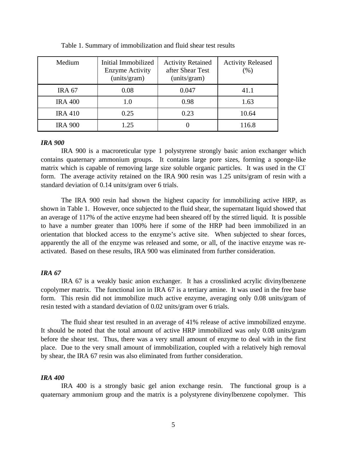| Medium         | Initial Immobilized<br><b>Enzyme Activity</b><br>(units/gram) | <b>Activity Retained</b><br>after Shear Test<br>(units/gram) | <b>Activity Released</b><br>(%) |
|----------------|---------------------------------------------------------------|--------------------------------------------------------------|---------------------------------|
| <b>IRA 67</b>  | 0.08                                                          | 0.047                                                        | 41.1                            |
| <b>IRA 400</b> | 1.0                                                           | 0.98                                                         | 1.63                            |
| <b>IRA 410</b> | 0.25                                                          | 0.23                                                         | 10.64                           |
| <b>IRA 900</b> | 1.25                                                          | 0                                                            | 116.8                           |

Table 1. Summary of immobilization and fluid shear test results

#### *IRA 900*

IRA 900 is a macroreticular type 1 polystyrene strongly basic anion exchanger which contains quaternary ammonium groups. It contains large pore sizes, forming a sponge-like matrix which is capable of removing large size soluble organic particles. It was used in the Clform. The average activity retained on the IRA 900 resin was 1.25 units/gram of resin with a standard deviation of 0.14 units/gram over 6 trials.

The IRA 900 resin had shown the highest capacity for immobilizing active HRP, as shown in Table 1. However, once subjected to the fluid shear, the supernatant liquid showed that an average of 117% of the active enzyme had been sheared off by the stirred liquid. It is possible to have a number greater than 100% here if some of the HRP had been immobilized in an orientation that blocked access to the enzyme's active site. When subjected to shear forces, apparently the all of the enzyme was released and some, or all, of the inactive enzyme was reactivated. Based on these results, IRA 900 was eliminated from further consideration.

#### *IRA 67*

IRA 67 is a weakly basic anion exchanger. It has a crosslinked acrylic divinylbenzene copolymer matrix. The functional ion in IRA 67 is a tertiary amine. It was used in the free base form. This resin did not immobilize much active enzyme, averaging only 0.08 units/gram of resin tested with a standard deviation of 0.02 units/gram over 6 trials.

The fluid shear test resulted in an average of 41% release of active immobilized enzyme. It should be noted that the total amount of active HRP immobilized was only 0.08 units/gram before the shear test. Thus, there was a very small amount of enzyme to deal with in the first place. Due to the very small amount of immobilization, coupled with a relatively high removal by shear, the IRA 67 resin was also eliminated from further consideration.

### *IRA 400*

IRA 400 is a strongly basic gel anion exchange resin. The functional group is a quaternary ammonium group and the matrix is a polystyrene divinylbenzene copolymer. This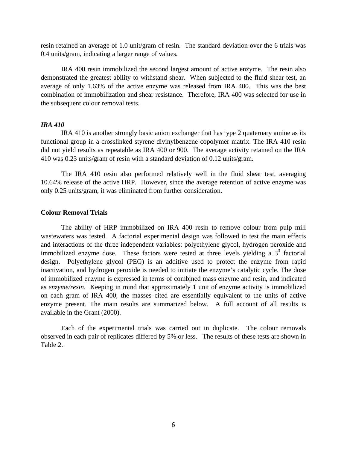resin retained an average of 1.0 unit/gram of resin. The standard deviation over the 6 trials was 0.4 units/gram, indicating a larger range of values.

IRA 400 resin immobilized the second largest amount of active enzyme. The resin also demonstrated the greatest ability to withstand shear. When subjected to the fluid shear test, an average of only 1.63% of the active enzyme was released from IRA 400. This was the best combination of immobilization and shear resistance. Therefore, IRA 400 was selected for use in the subsequent colour removal tests.

# *IRA 410*

IRA 410 is another strongly basic anion exchanger that has type 2 quaternary amine as its functional group in a crosslinked styrene divinylbenzene copolymer matrix. The IRA 410 resin did not yield results as repeatable as IRA 400 or 900. The average activity retained on the IRA 410 was 0.23 units/gram of resin with a standard deviation of 0.12 units/gram.

The IRA 410 resin also performed relatively well in the fluid shear test, averaging 10.64% release of the active HRP. However, since the average retention of active enzyme was only 0.25 units/gram, it was eliminated from further consideration.

#### **Colour Removal Trials**

The ability of HRP immobilized on IRA 400 resin to remove colour from pulp mill wastewaters was tested. A factorial experimental design was followed to test the main effects and interactions of the three independent variables: polyethylene glycol, hydrogen peroxide and immobilized enzyme dose. These factors were tested at three levels yielding a  $3<sup>3</sup>$  factorial design. Polyethylene glycol (PEG) is an additive used to protect the enzyme from rapid inactivation, and hydrogen peroxide is needed to initiate the enzyme's catalytic cycle. The dose of immobilized enzyme is expressed in terms of combined mass enzyme and resin, and indicated as *enzyme/resin*. Keeping in mind that approximately 1 unit of enzyme activity is immobilized on each gram of IRA 400, the masses cited are essentially equivalent to the units of active enzyme present. The main results are summarized below. A full account of all results is available in the Grant (2000).

Each of the experimental trials was carried out in duplicate. The colour removals observed in each pair of replicates differed by 5% or less. The results of these tests are shown in Table 2.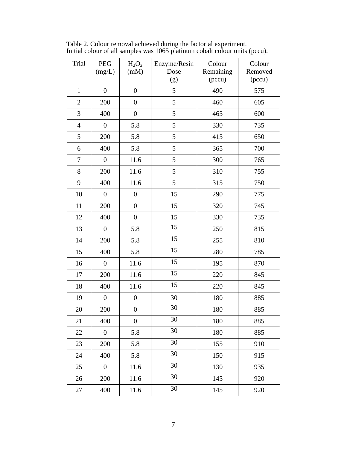| Trial          | <b>PEG</b><br>(mg/L) | $H_2O_2$<br>(mM) | Enzyme/Resin<br>Dose | Colour<br>Remaining | Colour<br>Removed |
|----------------|----------------------|------------------|----------------------|---------------------|-------------------|
|                |                      |                  | (g)                  | (pccu)              | (pccu)            |
| $\mathbf{1}$   | $\boldsymbol{0}$     | $\boldsymbol{0}$ | 5                    | 490                 | 575               |
| $\overline{2}$ | 200                  | $\boldsymbol{0}$ | 5                    | 460                 | 605               |
| 3              | 400                  | $\boldsymbol{0}$ | 5                    | 465                 | 600               |
| $\overline{4}$ | $\boldsymbol{0}$     | 5.8              | 5                    | 330                 | 735               |
| 5              | 200                  | 5.8              | 5                    | 415                 | 650               |
| 6              | 400                  | 5.8              | 5                    | 365                 | 700               |
| $\tau$         | $\boldsymbol{0}$     | 11.6             | 5                    | 300                 | 765               |
| $8\,$          | 200                  | 11.6             | 5                    | 310                 | 755               |
| 9              | 400                  | 11.6             | 5                    | 315                 | 750               |
| 10             | $\boldsymbol{0}$     | $\boldsymbol{0}$ | 15                   | 290                 | 775               |
| 11             | 200                  | $\boldsymbol{0}$ | 15                   | 320                 | 745               |
| 12             | 400                  | $\boldsymbol{0}$ | 15                   | 330                 | 735               |
| 13             | $\boldsymbol{0}$     | 5.8              | 15                   | 250                 | 815               |
| 14             | 200                  | 5.8              | 15                   | 255                 | 810               |
| 15             | 400                  | 5.8              | 15                   | 280                 | 785               |
| 16             | $\boldsymbol{0}$     | 11.6             | 15                   | 195                 | 870               |
| 17             | 200                  | 11.6             | 15                   | 220                 | 845               |
| 18             | 400                  | 11.6             | 15                   | 220                 | 845               |
| 19             | $\boldsymbol{0}$     | $\boldsymbol{0}$ | 30                   | 180                 | 885               |
| 20             | 200                  | $\boldsymbol{0}$ | 30                   | 180                 | 885               |
| 21             | 400                  | $\boldsymbol{0}$ | $30\,$               | 180                 | 885               |
| 22             | $\boldsymbol{0}$     | 5.8              | 30                   | 180                 | 885               |
| 23             | 200                  | 5.8              | 30                   | 155                 | 910               |
| 24             | 400                  | 5.8              | 30                   | 150                 | 915               |
| 25             | $\boldsymbol{0}$     | 11.6             | 30                   | 130                 | 935               |
| 26             | 200                  | 11.6             | 30                   | 145                 | 920               |
| 27             | 400                  | 11.6             | 30                   | 145                 | 920               |

Table 2. Colour removal achieved during the factorial experiment. Initial colour of all samples was 1065 platinum cobalt colour units (pccu).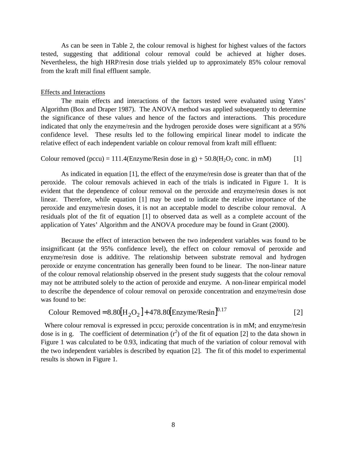As can be seen in Table 2, the colour removal is highest for highest values of the factors tested, suggesting that additional colour removal could be achieved at higher doses. Nevertheless, the high HRP/resin dose trials yielded up to approximately 85% colour removal from the kraft mill final effluent sample.

#### Effects and Interactions

The main effects and interactions of the factors tested were evaluated using Yates' Algorithm (Box and Draper 1987). The ANOVA method was applied subsequently to determine the significance of these values and hence of the factors and interactions. This procedure indicated that only the enzyme/resin and the hydrogen peroxide doses were significant at a 95% confidence level. These results led to the following empirical linear model to indicate the relative effect of each independent variable on colour removal from kraft mill effluent:

#### Colour removed (pccu) = 111.4(Enzyme/Resin dose in g) +  $50.8(H_2O_2 \text{ conc. in mM})$  [1]

As indicated in equation [1], the effect of the enzyme/resin dose is greater than that of the peroxide. The colour removals achieved in each of the trials is indicated in Figure 1. It is evident that the dependence of colour removal on the peroxide and enzyme/resin doses is not linear. Therefore, while equation [1] may be used to indicate the relative importance of the peroxide and enzyme/resin doses, it is not an acceptable model to describe colour removal. A residuals plot of the fit of equation [1] to observed data as well as a complete account of the application of Yates' Algorithm and the ANOVA procedure may be found in Grant (2000).

Because the effect of interaction between the two independent variables was found to be insignificant (at the 95% confidence level), the effect on colour removal of peroxide and enzyme/resin dose is additive. The relationship between substrate removal and hydrogen peroxide or enzyme concentration has generally been found to be linear. The non-linear nature of the colour removal relationship observed in the present study suggests that the colour removal may not be attributed solely to the action of peroxide and enzyme. A non-linear empirical model to describe the dependence of colour removal on peroxide concentration and enzyme/resin dose was found to be:

Colour Removed = 
$$
8.80[H_2O_2] + 478.80[Enzyme/Resin]^{0.17}
$$

\n[2]

Where colour removal is expressed in pccu; peroxide concentration is in mM; and enzyme/resin dose is in g. The coefficient of determination  $(r^2)$  of the fit of equation [2] to the data shown in Figure 1 was calculated to be 0.93, indicating that much of the variation of colour removal with the two independent variables is described by equation [2]. The fit of this model to experimental results is shown in Figure 1.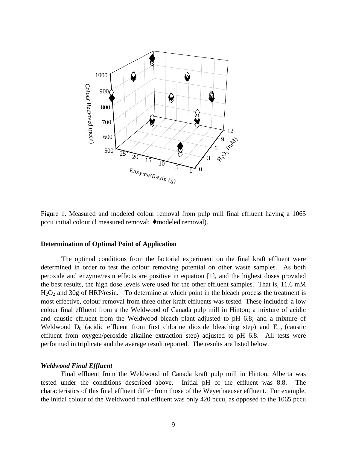

Figure 1. Measured and modeled colour removal from pulp mill final effluent having a 1065 pccu initial colour (! measured removal; ♦ modeled removal).

#### **Determination of Optimal Point of Application**

The optimal conditions from the factorial experiment on the final kraft effluent were determined in order to test the colour removing potential on other waste samples. As both peroxide and enzyme/resin effects are positive in equation [1], and the highest doses provided the best results, the high dose levels were used for the other effluent samples. That is, 11.6 mM  $H<sub>2</sub>O<sub>2</sub>$  and 30g of HRP/resin. To determine at which point in the bleach process the treatment is most effective, colour removal from three other kraft effluents was tested These included: a low colour final effluent from a the Weldwood of Canada pulp mill in Hinton; a mixture of acidic and caustic effluent from the Weldwood bleach plant adjusted to pH 6.8; and a mixture of Weldwood  $D_0$  (acidic effluent from first chlorine dioxide bleaching step) and  $E_{op}$  (caustic effluent from oxygen/peroxide alkaline extraction step) adjusted to pH 6.8. All tests were performed in triplicate and the average result reported. The results are listed below.

#### *Weldwood Final Effluent*

Final effluent from the Weldwood of Canada kraft pulp mill in Hinton, Alberta was tested under the conditions described above. Initial pH of the effluent was 8.8. The characteristics of this final effluent differ from those of the Weyerhaeuser effluent. For example, the initial colour of the Weldwood final effluent was only 420 pccu, as opposed to the 1065 pccu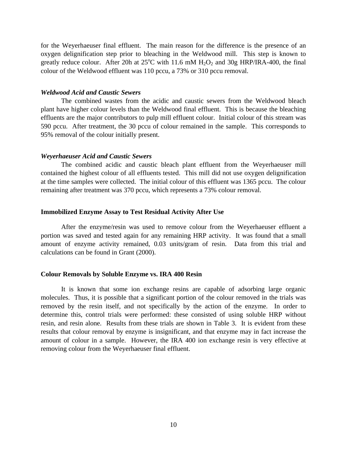for the Weyerhaeuser final effluent. The main reason for the difference is the presence of an oxygen delignification step prior to bleaching in the Weldwood mill. This step is known to greatly reduce colour. After 20h at  $25^{\circ}$ C with 11.6 mM H<sub>2</sub>O<sub>2</sub> and 30g HRP/IRA-400, the final colour of the Weldwood effluent was 110 pccu, a 73% or 310 pccu removal.

#### *Weldwood Acid and Caustic Sewers*

The combined wastes from the acidic and caustic sewers from the Weldwood bleach plant have higher colour levels than the Weldwood final effluent. This is because the bleaching effluents are the major contributors to pulp mill effluent colour. Initial colour of this stream was 590 pccu. After treatment, the 30 pccu of colour remained in the sample. This corresponds to 95% removal of the colour initially present.

#### *Weyerhaeuser Acid and Caustic Sewers*

The combined acidic and caustic bleach plant effluent from the Weyerhaeuser mill contained the highest colour of all effluents tested. This mill did not use oxygen delignification at the time samples were collected. The initial colour of this effluent was 1365 pccu. The colour remaining after treatment was 370 pccu, which represents a 73% colour removal.

#### **Immobilized Enzyme Assay to Test Residual Activity After Use**

After the enzyme/resin was used to remove colour from the Weyerhaeuser effluent a portion was saved and tested again for any remaining HRP activity. It was found that a small amount of enzyme activity remained, 0.03 units/gram of resin. Data from this trial and calculations can be found in Grant (2000).

#### **Colour Removals by Soluble Enzyme vs. IRA 400 Resin**

It is known that some ion exchange resins are capable of adsorbing large organic molecules. Thus, it is possible that a significant portion of the colour removed in the trials was removed by the resin itself, and not specifically by the action of the enzyme. In order to determine this, control trials were performed: these consisted of using soluble HRP without resin, and resin alone. Results from these trials are shown in Table 3. It is evident from these results that colour removal by enzyme is insignificant, and that enzyme may in fact increase the amount of colour in a sample. However, the IRA 400 ion exchange resin is very effective at removing colour from the Weyerhaeuser final effluent.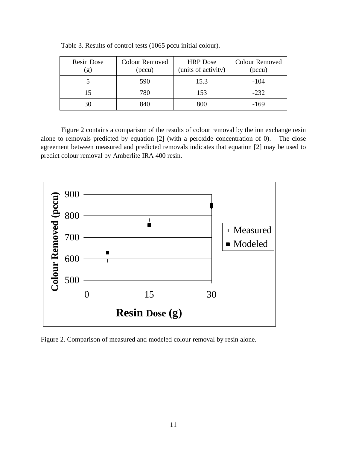| Resin Dose<br>(g) | <b>Colour Removed</b><br>(pccu) | <b>HRP</b> Dose<br>(units of activity) | <b>Colour Removed</b><br>(pccu) |
|-------------------|---------------------------------|----------------------------------------|---------------------------------|
|                   | 590                             | 15.3                                   | $-104$                          |
|                   | 780                             | 153                                    | $-232$                          |
|                   | 840                             | 800                                    | -169                            |

Table 3. Results of control tests (1065 pccu initial colour).

Figure 2 contains a comparison of the results of colour removal by the ion exchange resin alone to removals predicted by equation [2] (with a peroxide concentration of 0). The close agreement between measured and predicted removals indicates that equation [2] may be used to predict colour removal by Amberlite IRA 400 resin.



Figure 2. Comparison of measured and modeled colour removal by resin alone.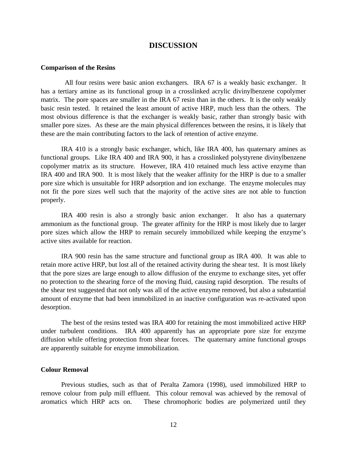# **DISCUSSION**

#### **Comparison of the Resins**

 All four resins were basic anion exchangers. IRA 67 is a weakly basic exchanger. It has a tertiary amine as its functional group in a crosslinked acrylic divinylbenzene copolymer matrix. The pore spaces are smaller in the IRA 67 resin than in the others. It is the only weakly basic resin tested. It retained the least amount of active HRP, much less than the others. The most obvious difference is that the exchanger is weakly basic, rather than strongly basic with smaller pore sizes. As these are the main physical differences between the resins, it is likely that these are the main contributing factors to the lack of retention of active enzyme.

IRA 410 is a strongly basic exchanger, which, like IRA 400, has quaternary amines as functional groups. Like IRA 400 and IRA 900, it has a crosslinked polystyrene divinylbenzene copolymer matrix as its structure. However, IRA 410 retained much less active enzyme than IRA 400 and IRA 900. It is most likely that the weaker affinity for the HRP is due to a smaller pore size which is unsuitable for HRP adsorption and ion exchange. The enzyme molecules may not fit the pore sizes well such that the majority of the active sites are not able to function properly.

IRA 400 resin is also a strongly basic anion exchanger. It also has a quaternary ammonium as the functional group. The greater affinity for the HRP is most likely due to larger pore sizes which allow the HRP to remain securely immobilized while keeping the enzyme's active sites available for reaction.

IRA 900 resin has the same structure and functional group as IRA 400. It was able to retain more active HRP, but lost all of the retained activity during the shear test. It is most likely that the pore sizes are large enough to allow diffusion of the enzyme to exchange sites, yet offer no protection to the shearing force of the moving fluid, causing rapid desorption. The results of the shear test suggested that not only was all of the active enzyme removed, but also a substantial amount of enzyme that had been immobilized in an inactive configuration was re-activated upon desorption.

The best of the resins tested was IRA 400 for retaining the most immobilized active HRP under turbulent conditions. IRA 400 apparently has an appropriate pore size for enzyme diffusion while offering protection from shear forces. The quaternary amine functional groups are apparently suitable for enzyme immobilization.

#### **Colour Removal**

Previous studies, such as that of Peralta Zamora (1998), used immobilized HRP to remove colour from pulp mill effluent. This colour removal was achieved by the removal of aromatics which HRP acts on. These chromophoric bodies are polymerized until they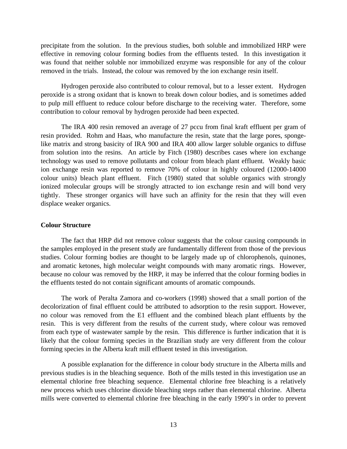precipitate from the solution. In the previous studies, both soluble and immobilized HRP were effective in removing colour forming bodies from the effluents tested. In this investigation it was found that neither soluble nor immobilized enzyme was responsible for any of the colour removed in the trials. Instead, the colour was removed by the ion exchange resin itself.

Hydrogen peroxide also contributed to colour removal, but to a lesser extent. Hydrogen peroxide is a strong oxidant that is known to break down colour bodies, and is sometimes added to pulp mill effluent to reduce colour before discharge to the receiving water. Therefore, some contribution to colour removal by hydrogen peroxide had been expected.

The IRA 400 resin removed an average of 27 pccu from final kraft effluent per gram of resin provided. Rohm and Haas, who manufacture the resin, state that the large pores, spongelike matrix and strong basicity of IRA 900 and IRA 400 allow larger soluble organics to diffuse from solution into the resins. An article by Fitch (1980) describes cases where ion exchange technology was used to remove pollutants and colour from bleach plant effluent. Weakly basic ion exchange resin was reported to remove 70% of colour in highly coloured (12000-14000 colour units) bleach plant effluent. Fitch (1980) stated that soluble organics with strongly ionized molecular groups will be strongly attracted to ion exchange resin and will bond very tightly. These stronger organics will have such an affinity for the resin that they will even displace weaker organics.

#### **Colour Structure**

The fact that HRP did not remove colour suggests that the colour causing compounds in the samples employed in the present study are fundamentally different from those of the previous studies. Colour forming bodies are thought to be largely made up of chlorophenols, quinones, and aromatic ketones, high molecular weight compounds with many aromatic rings. However, because no colour was removed by the HRP, it may be inferred that the colour forming bodies in the effluents tested do not contain significant amounts of aromatic compounds.

The work of Peralta Zamora and co-workers (1998) showed that a small portion of the decolorization of final effluent could be attributed to adsorption to the resin support. However, no colour was removed from the E1 effluent and the combined bleach plant effluents by the resin. This is very different from the results of the current study, where colour was removed from each type of wastewater sample by the resin. This difference is further indication that it is likely that the colour forming species in the Brazilian study are very different from the colour forming species in the Alberta kraft mill effluent tested in this investigation.

A possible explanation for the difference in colour body structure in the Alberta mills and previous studies is in the bleaching sequence. Both of the mills tested in this investigation use an elemental chlorine free bleaching sequence. Elemental chlorine free bleaching is a relatively new process which uses chlorine dioxide bleaching steps rather than elemental chlorine. Alberta mills were converted to elemental chlorine free bleaching in the early 1990's in order to prevent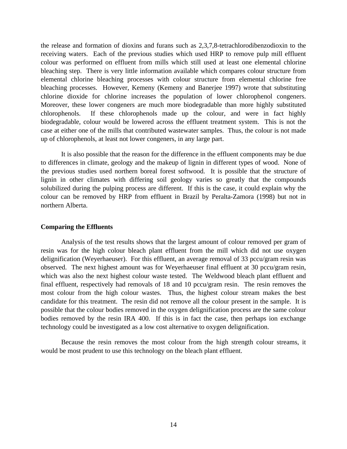the release and formation of dioxins and furans such as 2,3,7,8-tetrachlorodibenzodioxin to the receiving waters. Each of the previous studies which used HRP to remove pulp mill effluent colour was performed on effluent from mills which still used at least one elemental chlorine bleaching step. There is very little information available which compares colour structure from elemental chlorine bleaching processes with colour structure from elemental chlorine free bleaching processes. However, Kemeny (Kemeny and Banerjee 1997) wrote that substituting chlorine dioxide for chlorine increases the population of lower chlorophenol congeners. Moreover, these lower congeners are much more biodegradable than more highly substituted chlorophenols. If these chlorophenols made up the colour, and were in fact highly biodegradable, colour would be lowered across the effluent treatment system. This is not the case at either one of the mills that contributed wastewater samples. Thus, the colour is not made up of chlorophenols, at least not lower congeners, in any large part.

It is also possible that the reason for the difference in the effluent components may be due to differences in climate, geology and the makeup of lignin in different types of wood. None of the previous studies used northern boreal forest softwood. It is possible that the structure of lignin in other climates with differing soil geology varies so greatly that the compounds solubilized during the pulping process are different. If this is the case, it could explain why the colour can be removed by HRP from effluent in Brazil by Peralta-Zamora (1998) but not in northern Alberta.

#### **Comparing the Effluents**

Analysis of the test results shows that the largest amount of colour removed per gram of resin was for the high colour bleach plant effluent from the mill which did not use oxygen delignification (Weyerhaeuser). For this effluent, an average removal of 33 pccu/gram resin was observed. The next highest amount was for Weyerhaeuser final effluent at 30 pccu/gram resin, which was also the next highest colour waste tested. The Weldwood bleach plant effluent and final effluent, respectively had removals of 18 and 10 pccu/gram resin. The resin removes the most colour from the high colour wastes. Thus, the highest colour stream makes the best candidate for this treatment. The resin did not remove all the colour present in the sample. It is possible that the colour bodies removed in the oxygen delignification process are the same colour bodies removed by the resin IRA 400. If this is in fact the case, then perhaps ion exchange technology could be investigated as a low cost alternative to oxygen delignification.

Because the resin removes the most colour from the high strength colour streams, it would be most prudent to use this technology on the bleach plant effluent.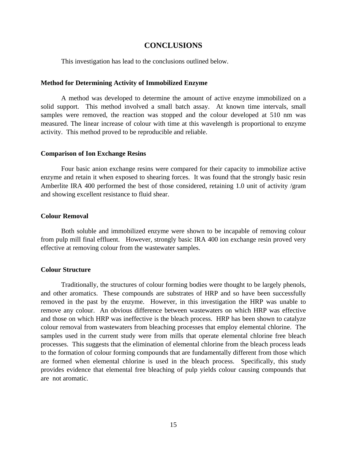# **CONCLUSIONS**

This investigation has lead to the conclusions outlined below.

#### **Method for Determining Activity of Immobilized Enzyme**

A method was developed to determine the amount of active enzyme immobilized on a solid support. This method involved a small batch assay. At known time intervals, small samples were removed, the reaction was stopped and the colour developed at 510 nm was measured. The linear increase of colour with time at this wavelength is proportional to enzyme activity. This method proved to be reproducible and reliable.

# **Comparison of Ion Exchange Resins**

Four basic anion exchange resins were compared for their capacity to immobilize active enzyme and retain it when exposed to shearing forces. It was found that the strongly basic resin Amberlite IRA 400 performed the best of those considered, retaining 1.0 unit of activity /gram and showing excellent resistance to fluid shear.

#### **Colour Removal**

Both soluble and immobilized enzyme were shown to be incapable of removing colour from pulp mill final effluent. However, strongly basic IRA 400 ion exchange resin proved very effective at removing colour from the wastewater samples.

### **Colour Structure**

Traditionally, the structures of colour forming bodies were thought to be largely phenols, and other aromatics. These compounds are substrates of HRP and so have been successfully removed in the past by the enzyme. However, in this investigation the HRP was unable to remove any colour. An obvious difference between wastewaters on which HRP was effective and those on which HRP was ineffective is the bleach process. HRP has been shown to catalyze colour removal from wastewaters from bleaching processes that employ elemental chlorine. The samples used in the current study were from mills that operate elemental chlorine free bleach processes. This suggests that the elimination of elemental chlorine from the bleach process leads to the formation of colour forming compounds that are fundamentally different from those which are formed when elemental chlorine is used in the bleach process. Specifically, this study provides evidence that elemental free bleaching of pulp yields colour causing compounds that are not aromatic.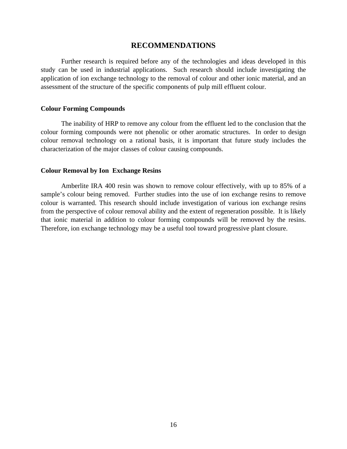# **RECOMMENDATIONS**

Further research is required before any of the technologies and ideas developed in this study can be used in industrial applications. Such research should include investigating the application of ion exchange technology to the removal of colour and other ionic material, and an assessment of the structure of the specific components of pulp mill effluent colour.

#### **Colour Forming Compounds**

The inability of HRP to remove any colour from the effluent led to the conclusion that the colour forming compounds were not phenolic or other aromatic structures. In order to design colour removal technology on a rational basis, it is important that future study includes the characterization of the major classes of colour causing compounds.

#### **Colour Removal by Ion Exchange Resins**

Amberlite IRA 400 resin was shown to remove colour effectively, with up to 85% of a sample's colour being removed. Further studies into the use of ion exchange resins to remove colour is warranted. This research should include investigation of various ion exchange resins from the perspective of colour removal ability and the extent of regeneration possible. It is likely that ionic material in addition to colour forming compounds will be removed by the resins. Therefore, ion exchange technology may be a useful tool toward progressive plant closure.